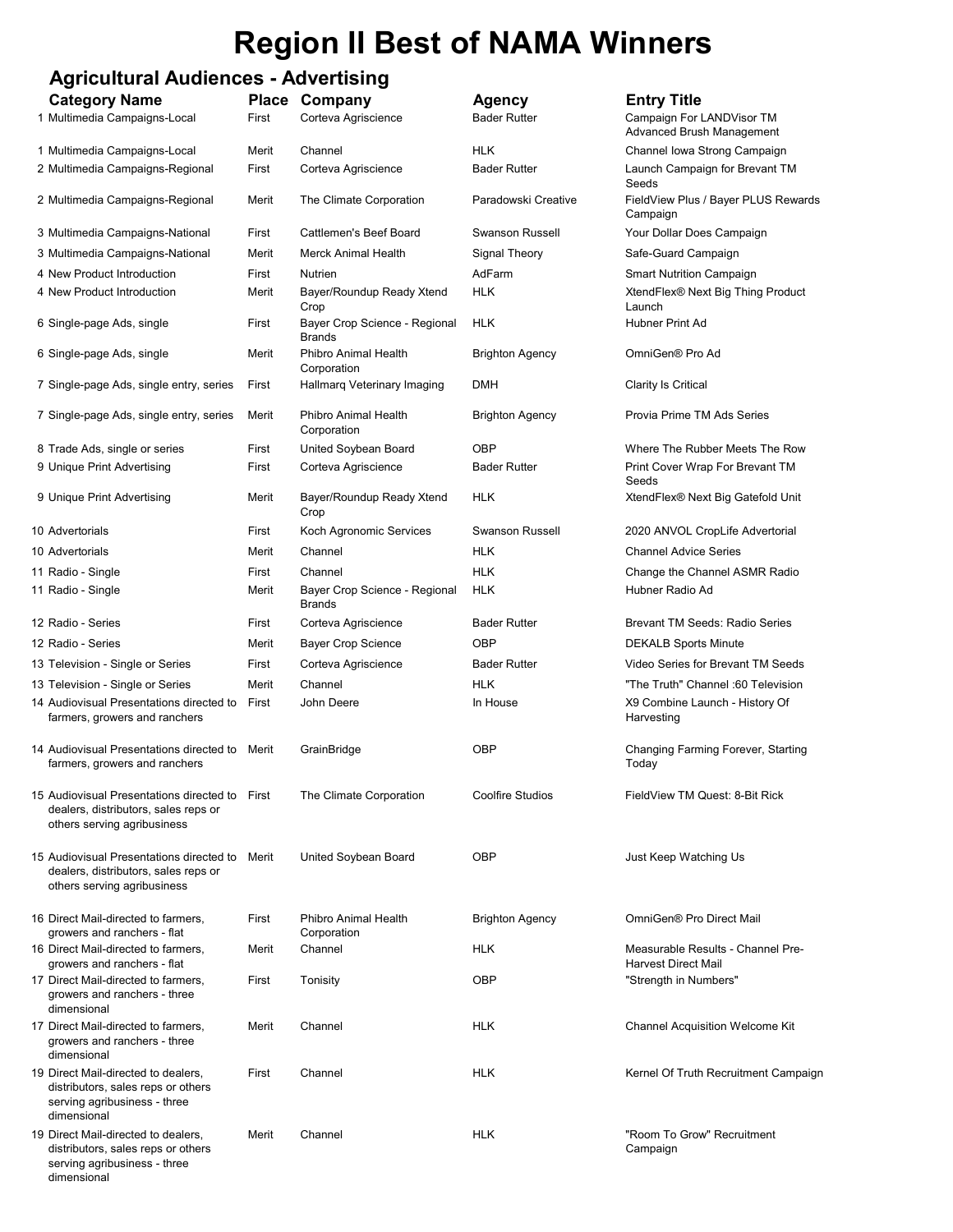# Region II Best of NAMA Winners

## Agricultural Audiences - Advertising

| <b>Category Name</b><br>1 Multimedia Campaigns-Local                                                                     | First | Place Company<br>Corteva Agriscience           | <b>Agency</b><br><b>Bader Rutter</b> | <b>Entry Title</b><br>Campaign For LANDVisor TM<br><b>Advanced Brush Management</b> |
|--------------------------------------------------------------------------------------------------------------------------|-------|------------------------------------------------|--------------------------------------|-------------------------------------------------------------------------------------|
| 1 Multimedia Campaigns-Local                                                                                             | Merit | Channel                                        | <b>HLK</b>                           | Channel Iowa Strong Campaign                                                        |
| 2 Multimedia Campaigns-Regional                                                                                          | First | Corteva Agriscience                            | <b>Bader Rutter</b>                  | Launch Campaign for Brevant TM<br>Seeds                                             |
| 2 Multimedia Campaigns-Regional                                                                                          | Merit | The Climate Corporation                        | Paradowski Creative                  | FieldView Plus / Bayer PLUS Rewards<br>Campaign                                     |
| 3 Multimedia Campaigns-National                                                                                          | First | Cattlemen's Beef Board                         | <b>Swanson Russell</b>               | Your Dollar Does Campaign                                                           |
| 3 Multimedia Campaigns-National                                                                                          | Merit | <b>Merck Animal Health</b>                     | Signal Theory                        | Safe-Guard Campaign                                                                 |
| 4 New Product Introduction                                                                                               | First | Nutrien                                        | AdFarm                               | <b>Smart Nutrition Campaign</b>                                                     |
| 4 New Product Introduction                                                                                               | Merit | Bayer/Roundup Ready Xtend<br>Crop              | <b>HLK</b>                           | XtendFlex® Next Big Thing Product<br>Launch                                         |
| 6 Single-page Ads, single                                                                                                | First | Bayer Crop Science - Regional<br><b>Brands</b> | <b>HLK</b>                           | Hubner Print Ad                                                                     |
| 6 Single-page Ads, single                                                                                                | Merit | Phibro Animal Health<br>Corporation            | <b>Brighton Agency</b>               | OmniGen® Pro Ad                                                                     |
| 7 Single-page Ads, single entry, series                                                                                  | First | Hallmarq Veterinary Imaging                    | <b>DMH</b>                           | Clarity Is Critical                                                                 |
| 7 Single-page Ads, single entry, series                                                                                  | Merit | Phibro Animal Health<br>Corporation            | Brighton Agency                      | Provia Prime TM Ads Series                                                          |
| 8 Trade Ads, single or series                                                                                            | First | United Soybean Board                           | OBP                                  | Where The Rubber Meets The Row                                                      |
| 9 Unique Print Advertising                                                                                               | First | Corteva Agriscience                            | <b>Bader Rutter</b>                  | Print Cover Wrap For Brevant TM<br>Seeds                                            |
| 9 Unique Print Advertising                                                                                               | Merit | Bayer/Roundup Ready Xtend<br>Crop              | HLK                                  | XtendFlex® Next Big Gatefold Unit                                                   |
| 10 Advertorials                                                                                                          | First | Koch Agronomic Services                        | <b>Swanson Russell</b>               | 2020 ANVOL CropLife Advertorial                                                     |
| 10 Advertorials                                                                                                          | Merit | Channel                                        | HLK                                  | <b>Channel Advice Series</b>                                                        |
| 11 Radio - Single                                                                                                        | First | Channel                                        | <b>HLK</b>                           | Change the Channel ASMR Radio                                                       |
| 11 Radio - Single                                                                                                        | Merit | Bayer Crop Science - Regional<br><b>Brands</b> | <b>HLK</b>                           | Hubner Radio Ad                                                                     |
| 12 Radio - Series                                                                                                        | First | Corteva Agriscience                            | <b>Bader Rutter</b>                  | <b>Brevant TM Seeds: Radio Series</b>                                               |
| 12 Radio - Series                                                                                                        | Merit | <b>Bayer Crop Science</b>                      | OBP                                  | <b>DEKALB Sports Minute</b>                                                         |
| 13 Television - Single or Series                                                                                         | First | Corteva Agriscience                            | <b>Bader Rutter</b>                  | Video Series for Brevant TM Seeds                                                   |
| 13 Television - Single or Series                                                                                         | Merit | Channel                                        | <b>HLK</b>                           | "The Truth" Channel :60 Television                                                  |
| 14 Audiovisual Presentations directed to<br>farmers, growers and ranchers                                                | First | John Deere                                     | In House                             | X9 Combine Launch - History Of<br>Harvesting                                        |
| 14 Audiovisual Presentations directed to<br>farmers, growers and ranchers                                                | Merit | GrainBridge                                    | OBP                                  | Changing Farming Forever, Starting<br>Today                                         |
| 15 Audiovisual Presentations directed to First<br>dealers, distributors, sales reps or<br>others serving agribusiness    |       | The Climate Corporation                        | <b>Coolfire Studios</b>              | FieldView TM Quest: 8-Bit Rick                                                      |
| 15 Audiovisual Presentations directed to Merit<br>dealers, distributors, sales reps or<br>others serving agribusiness    |       | United Soybean Board                           | OBP                                  | Just Keep Watching Us                                                               |
| 16 Direct Mail-directed to farmers,<br>growers and ranchers - flat                                                       | First | Phibro Animal Health<br>Corporation            | <b>Brighton Agency</b>               | OmniGen® Pro Direct Mail                                                            |
| 16 Direct Mail-directed to farmers,<br>growers and ranchers - flat                                                       | Merit | Channel                                        | <b>HLK</b>                           | Measurable Results - Channel Pre-<br><b>Harvest Direct Mail</b>                     |
| 17 Direct Mail-directed to farmers,<br>growers and ranchers - three<br>dimensional                                       | First | Tonisity                                       | OBP                                  | "Strength in Numbers"                                                               |
| 17 Direct Mail-directed to farmers,<br>growers and ranchers - three<br>dimensional                                       | Merit | Channel                                        | <b>HLK</b>                           | <b>Channel Acquisition Welcome Kit</b>                                              |
| 19 Direct Mail-directed to dealers,<br>distributors, sales reps or others<br>serving agribusiness - three<br>dimensional | First | Channel                                        | <b>HLK</b>                           | Kernel Of Truth Recruitment Campaign                                                |
| 19 Direct Mail-directed to dealers,<br>distributors, sales reps or others<br>serving agribusiness - three<br>dimensional | Merit | Channel                                        | <b>HLK</b>                           | "Room To Grow" Recruitment<br>Campaign                                              |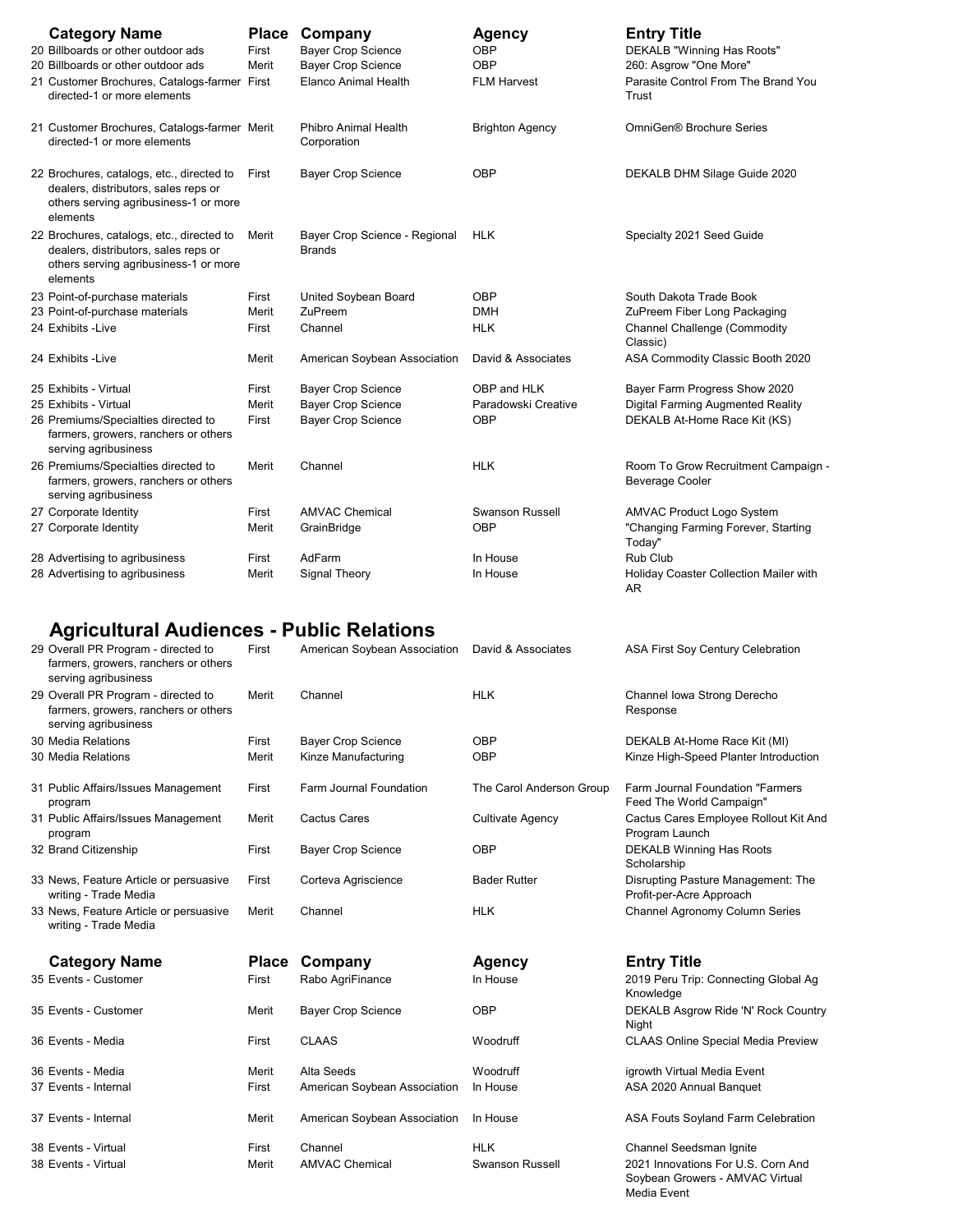| <b>Category Name</b><br>20 Billboards or other outdoor ads<br>20 Billboards or other outdoor ads<br>21 Customer Brochures, Catalogs-farmer First<br>directed-1 or more elements | <b>Place</b><br>First<br>Merit | Company<br><b>Bayer Crop Science</b><br><b>Bayer Crop Science</b><br>Elanco Animal Health | <b>Agency</b><br>OBP<br>OBP<br><b>FLM Harvest</b> | <b>Entry Title</b><br>DEKALB "Winning Has Roots"<br>260: Asgrow "One More"<br>Parasite Control From The Brand You<br>Trust |
|---------------------------------------------------------------------------------------------------------------------------------------------------------------------------------|--------------------------------|-------------------------------------------------------------------------------------------|---------------------------------------------------|----------------------------------------------------------------------------------------------------------------------------|
| 21 Customer Brochures, Catalogs-farmer Merit<br>directed-1 or more elements                                                                                                     |                                | Phibro Animal Health<br>Corporation                                                       | <b>Brighton Agency</b>                            | OmniGen® Brochure Series                                                                                                   |
| 22 Brochures, catalogs, etc., directed to<br>dealers, distributors, sales reps or<br>others serving agribusiness-1 or more<br>elements                                          | First                          | <b>Bayer Crop Science</b>                                                                 | <b>OBP</b>                                        | DEKALB DHM Silage Guide 2020                                                                                               |
| 22 Brochures, catalogs, etc., directed to<br>dealers, distributors, sales reps or<br>others serving agribusiness-1 or more<br>elements                                          | Merit                          | Bayer Crop Science - Regional<br><b>Brands</b>                                            | <b>HLK</b>                                        | Specialty 2021 Seed Guide                                                                                                  |
| 23 Point-of-purchase materials                                                                                                                                                  | First                          | United Soybean Board                                                                      | OBP                                               | South Dakota Trade Book                                                                                                    |
| 23 Point-of-purchase materials                                                                                                                                                  | Merit                          | ZuPreem                                                                                   | <b>DMH</b>                                        | ZuPreem Fiber Long Packaging                                                                                               |
| 24 Exhibits - Live                                                                                                                                                              | First                          | Channel                                                                                   | <b>HLK</b>                                        | <b>Channel Challenge (Commodity</b><br>Classic)                                                                            |
| 24 Exhibits - Live                                                                                                                                                              | Merit                          | American Soybean Association                                                              | David & Associates                                | ASA Commodity Classic Booth 2020                                                                                           |
| 25 Exhibits - Virtual                                                                                                                                                           | First                          | <b>Bayer Crop Science</b>                                                                 | OBP and HLK                                       | Bayer Farm Progress Show 2020                                                                                              |
| 25 Exhibits - Virtual                                                                                                                                                           | Merit                          | <b>Bayer Crop Science</b>                                                                 | Paradowski Creative                               | Digital Farming Augmented Reality                                                                                          |
| 26 Premiums/Specialties directed to<br>farmers, growers, ranchers or others<br>serving agribusiness                                                                             | First                          | <b>Bayer Crop Science</b>                                                                 | OBP                                               | DEKALB At-Home Race Kit (KS)                                                                                               |
| 26 Premiums/Specialties directed to<br>farmers, growers, ranchers or others<br>serving agribusiness                                                                             | Merit                          | Channel                                                                                   | <b>HLK</b>                                        | Room To Grow Recruitment Campaign -<br>Beverage Cooler                                                                     |
| 27 Corporate Identity                                                                                                                                                           | First                          | <b>AMVAC Chemical</b>                                                                     | <b>Swanson Russell</b>                            | AMVAC Product Logo System                                                                                                  |
| 27 Corporate Identity                                                                                                                                                           | Merit                          | GrainBridge                                                                               | OBP                                               | "Changing Farming Forever, Starting<br>Today"                                                                              |
| 28 Advertising to agribusiness                                                                                                                                                  | First                          | AdFarm                                                                                    | In House                                          | Rub Club                                                                                                                   |
| 28 Advertising to agribusiness                                                                                                                                                  | Merit                          | Signal Theory                                                                             | In House                                          | Holiday Coaster Collection Mailer with<br>AR.                                                                              |

#### Agricultural Audiences - Public Relations

| 29 Overall PR Program - directed to<br>farmers, growers, ranchers or others<br>serving agribusiness | First        | American Soybean Association | David & Associates       | <b>ASA First Soy Century Celebration</b>                              |
|-----------------------------------------------------------------------------------------------------|--------------|------------------------------|--------------------------|-----------------------------------------------------------------------|
| 29 Overall PR Program - directed to<br>farmers, growers, ranchers or others<br>serving agribusiness | Merit        | Channel                      | <b>HLK</b>               | Channel Iowa Strong Derecho<br>Response                               |
| 30 Media Relations                                                                                  | First        | <b>Bayer Crop Science</b>    | OBP                      | DEKALB At-Home Race Kit (MI)                                          |
| 30 Media Relations                                                                                  | Merit        | Kinze Manufacturing          | <b>OBP</b>               | Kinze High-Speed Planter Introduction                                 |
| 31 Public Affairs/Issues Management<br>program                                                      | First        | Farm Journal Foundation      | The Carol Anderson Group | Farm Journal Foundation "Farmers<br>Feed The World Campaign"          |
| 31 Public Affairs/Issues Management<br>program                                                      | Merit        | <b>Cactus Cares</b>          | <b>Cultivate Agency</b>  | Cactus Cares Employee Rollout Kit And<br>Program Launch               |
| 32 Brand Citizenship                                                                                | First        | <b>Bayer Crop Science</b>    | OBP                      | <b>DEKALB Winning Has Roots</b><br>Scholarship                        |
| 33 News, Feature Article or persuasive<br>writing - Trade Media                                     | First        | Corteva Agriscience          | <b>Bader Rutter</b>      | Disrupting Pasture Management: The<br>Profit-per-Acre Approach        |
| 33 News, Feature Article or persuasive<br>writing - Trade Media                                     | Merit        | Channel                      | <b>HLK</b>               | Channel Agronomy Column Series                                        |
| <b>Category Name</b>                                                                                | <b>Place</b> | Company                      | <b>Agency</b>            | <b>Entry Title</b>                                                    |
| 35 Events - Customer                                                                                | First        | Rabo AgriFinance             | In House                 | 2019 Peru Trip: Connecting Global Ag<br>Knowledge                     |
| 35 Events - Customer                                                                                | Merit        | <b>Bayer Crop Science</b>    | <b>OBP</b>               | DEKALB Asgrow Ride 'N' Rock Country<br>Night                          |
| 36 Events - Media                                                                                   | First        | <b>CLAAS</b>                 | Woodruff                 | <b>CLAAS Online Special Media Preview</b>                             |
| 36 Events - Media                                                                                   | Merit        | Alta Seeds                   | Woodruff                 | igrowth Virtual Media Event                                           |
| 37 Events - Internal                                                                                | First        | American Soybean Association | In House                 | ASA 2020 Annual Banquet                                               |
| 37 Events - Internal                                                                                | Merit        | American Soybean Association | In House                 | ASA Fouts Soyland Farm Celebration                                    |
| 38 Events - Virtual                                                                                 | First        | Channel                      | <b>HLK</b>               | Channel Seedsman Ignite                                               |
| 38 Events - Virtual                                                                                 | Merit        | <b>AMVAC Chemical</b>        | <b>Swanson Russell</b>   | 2021 Innovations For U.S. Corn And<br>Soybean Growers - AMVAC Virtual |

Media Event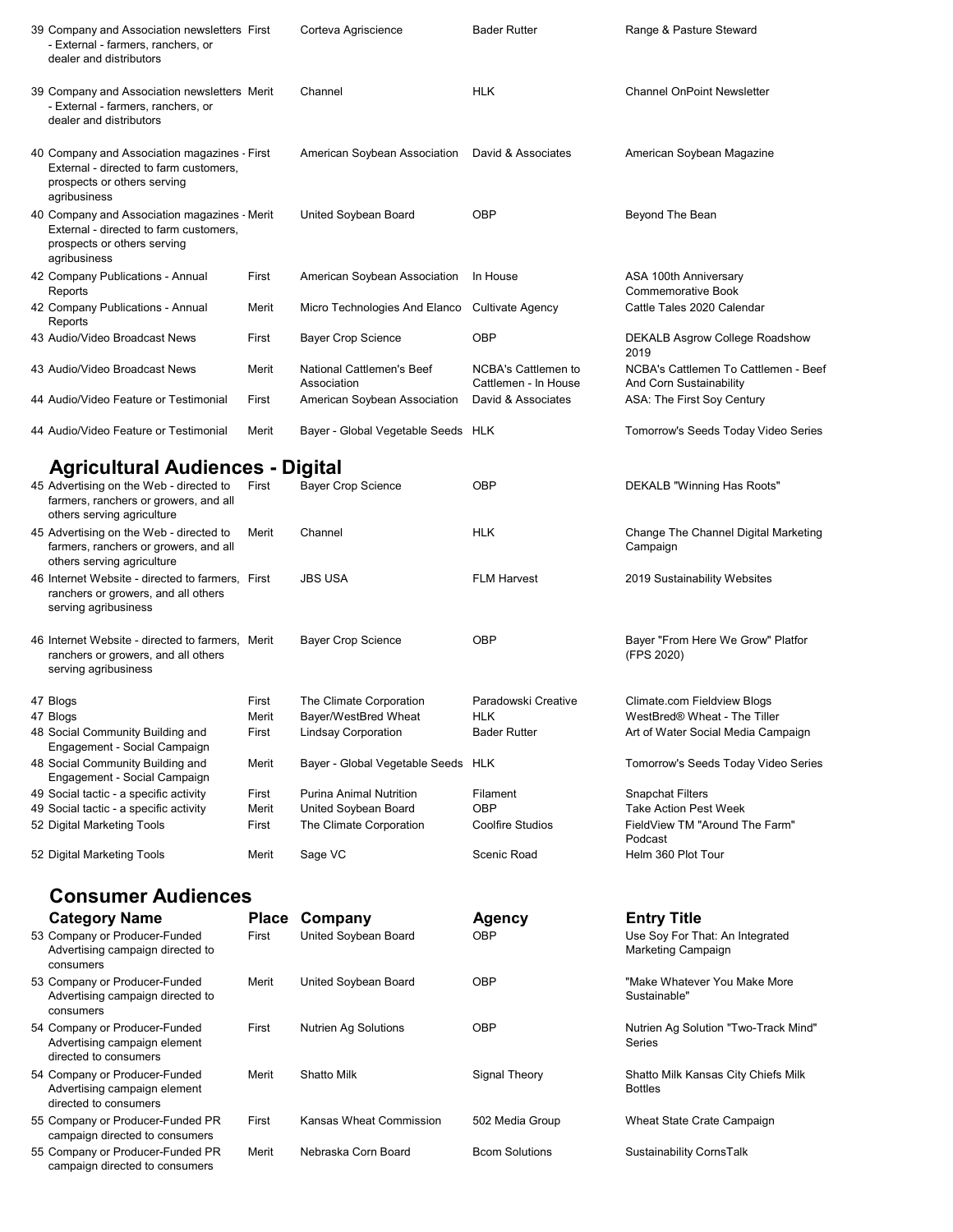| 39 Company and Association newsletters First<br>- External - farmers, ranchers, or<br>dealer and distributors                         |                | Corteva Agriscience                                | <b>Bader Rutter</b>                         | Range & Pasture Steward                                            |
|---------------------------------------------------------------------------------------------------------------------------------------|----------------|----------------------------------------------------|---------------------------------------------|--------------------------------------------------------------------|
| 39 Company and Association newsletters Merit<br>- External - farmers, ranchers, or<br>dealer and distributors                         |                | Channel                                            | <b>HLK</b>                                  | <b>Channel OnPoint Newsletter</b>                                  |
| 40 Company and Association magazines - First<br>External - directed to farm customers,<br>prospects or others serving<br>agribusiness |                | American Soybean Association                       | David & Associates                          | American Soybean Magazine                                          |
| 40 Company and Association magazines - Merit<br>External - directed to farm customers,<br>prospects or others serving<br>agribusiness |                | United Soybean Board                               | <b>OBP</b>                                  | Beyond The Bean                                                    |
| 42 Company Publications - Annual<br>Reports                                                                                           | First          | American Soybean Association                       | In House                                    | ASA 100th Anniversary<br>Commemorative Book                        |
| 42 Company Publications - Annual<br>Reports                                                                                           | Merit          | Micro Technologies And Elanco Cultivate Agency     |                                             | Cattle Tales 2020 Calendar                                         |
| 43 Audio/Video Broadcast News                                                                                                         | First          | Bayer Crop Science                                 | <b>OBP</b>                                  | DEKALB Asgrow College Roadshow<br>2019                             |
| 43 Audio/Video Broadcast News                                                                                                         | Merit          | National Cattlemen's Beef<br>Association           | NCBA's Cattlemen to<br>Cattlemen - In House | NCBA's Cattlemen To Cattlemen - Beef<br>And Corn Sustainability    |
| 44 Audio/Video Feature or Testimonial                                                                                                 | First          | American Soybean Association                       | David & Associates                          | ASA: The First Soy Century                                         |
| 44 Audio/Video Feature or Testimonial                                                                                                 | Merit          | Bayer - Global Vegetable Seeds HLK                 |                                             | Tomorrow's Seeds Today Video Series                                |
| <b>Agricultural Audiences - Digital</b>                                                                                               |                |                                                    |                                             |                                                                    |
| 45 Advertising on the Web - directed to<br>farmers, ranchers or growers, and all<br>others serving agriculture                        | First          | <b>Bayer Crop Science</b>                          | <b>OBP</b>                                  | DEKALB "Winning Has Roots"                                         |
| 45 Advertising on the Web - directed to<br>farmers, ranchers or growers, and all<br>others serving agriculture                        | Merit          | Channel                                            | <b>HLK</b>                                  | Change The Channel Digital Marketing<br>Campaign                   |
| 46 Internet Website - directed to farmers, First<br>ranchers or growers, and all others<br>serving agribusiness                       |                | <b>JBS USA</b>                                     | <b>FLM Harvest</b>                          | 2019 Sustainability Websites                                       |
| 46 Internet Website - directed to farmers. Merit<br>ranchers or growers, and all others<br>serving agribusiness                       |                | <b>Bayer Crop Science</b>                          | <b>OBP</b>                                  | Bayer "From Here We Grow" Platfor<br>(FPS 2020)                    |
| 47 Blogs                                                                                                                              | First          | The Climate Corporation                            | Paradowski Creative                         | Climate.com Fieldview Blogs                                        |
| 47 Blogs<br>48 Social Community Building and                                                                                          | Merit<br>First | Bayer/WestBred Wheat<br><b>Lindsay Corporation</b> | <b>HLK</b><br><b>Bader Rutter</b>           | WestBred® Wheat - The Tiller<br>Art of Water Social Media Campaign |
| Engagement - Social Campaign<br>48 Social Community Building and                                                                      | Merit          | Bayer - Global Vegetable Seeds HLK                 |                                             | Tomorrow's Seeds Today Video Series                                |
| Engagement - Social Campaign                                                                                                          |                |                                                    |                                             |                                                                    |
| 49 Social tactic - a specific activity<br>49 Social tactic - a specific activity                                                      | First<br>Merit | Purina Animal Nutrition<br>United Soybean Board    | Filament<br>OBP                             | <b>Snapchat Filters</b><br><b>Take Action Pest Week</b>            |
| 52 Digital Marketing Tools                                                                                                            | First          | The Climate Corporation                            | <b>Coolfire Studios</b>                     | FieldView TM "Around The Farm"<br>Podcast                          |
| 52 Digital Marketing Tools                                                                                                            | Merit          | Sage VC                                            | Scenic Road                                 | Helm 360 Plot Tour                                                 |
| <b>Consumer Audiences</b>                                                                                                             |                |                                                    |                                             |                                                                    |
| <b>Category Name</b>                                                                                                                  | <b>Place</b>   | Company                                            | <b>Agency</b>                               | <b>Entry Title</b>                                                 |
| 53 Company or Producer-Funded<br>Advertising campaign directed to<br>consumers                                                        | First          | United Soybean Board                               | <b>OBP</b>                                  | Use Soy For That: An Integrated<br>Marketing Campaign              |
| 53 Company or Producer-Funded<br>Advertising campaign directed to<br>consumers                                                        | Merit          | United Soybean Board                               | OBP                                         | "Make Whatever You Make More<br>Sustainable"                       |
| 54 Company or Producer-Funded<br>Advertising campaign element<br>directed to consumers                                                | First          | <b>Nutrien Ag Solutions</b>                        | OBP                                         | Nutrien Ag Solution "Two-Track Mind"<br>Series                     |
| 54 Company or Producer-Funded<br>Advertising campaign element<br>directed to consumers                                                | Merit          | Shatto Milk                                        | Signal Theory                               | Shatto Milk Kansas City Chiefs Milk<br><b>Bottles</b>              |
| 55 Company or Producer-Funded PR<br>campaign directed to consumers                                                                    | First          | Kansas Wheat Commission                            | 502 Media Group                             | Wheat State Crate Campaign                                         |
| 55 Company or Producer-Funded PR<br>campaign directed to consumers                                                                    | Merit          | Nebraska Corn Board                                | <b>Bcom Solutions</b>                       | Sustainability CornsTalk                                           |